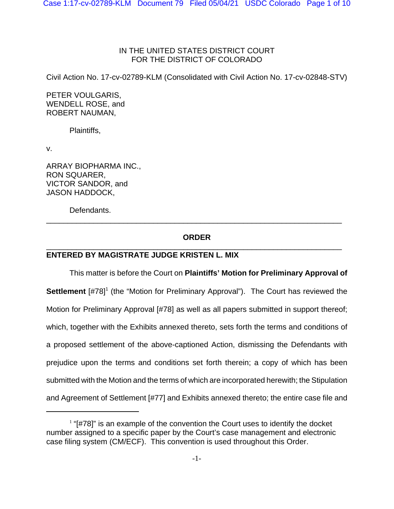## IN THE UNITED STATES DISTRICT COURT FOR THE DISTRICT OF COLORADO

Civil Action No. 17-cv-02789-KLM (Consolidated with Civil Action No. 17-cv-02848-STV)

PETER VOULGARIS, WENDELL ROSE, and ROBERT NAUMAN,

Plaintiffs,

v.

ARRAY BIOPHARMA INC., RON SQUARER, VICTOR SANDOR, and JASON HADDOCK,

Defendants.

## **ORDER** \_\_\_\_\_\_\_\_\_\_\_\_\_\_\_\_\_\_\_\_\_\_\_\_\_\_\_\_\_\_\_\_\_\_\_\_\_\_\_\_\_\_\_\_\_\_\_\_\_\_\_\_\_\_\_\_\_\_\_\_\_\_\_\_\_\_\_\_\_

\_\_\_\_\_\_\_\_\_\_\_\_\_\_\_\_\_\_\_\_\_\_\_\_\_\_\_\_\_\_\_\_\_\_\_\_\_\_\_\_\_\_\_\_\_\_\_\_\_\_\_\_\_\_\_\_\_\_\_\_\_\_\_\_\_\_\_\_\_

## **ENTERED BY MAGISTRATE JUDGE KRISTEN L. MIX**

This matter is before the Court on **Plaintiffs' Motion for Preliminary Approval of Settlement** [#78]<sup>1</sup> (the "Motion for Preliminary Approval"). The Court has reviewed the Motion for Preliminary Approval [#78] as well as all papers submitted in support thereof; which, together with the Exhibits annexed thereto, sets forth the terms and conditions of a proposed settlement of the above-captioned Action, dismissing the Defendants with prejudice upon the terms and conditions set forth therein; a copy of which has been submitted with the Motion and the terms of which are incorporated herewith; the Stipulation and Agreement of Settlement [#77] and Exhibits annexed thereto; the entire case file and

 $1$  "[#78]" is an example of the convention the Court uses to identify the docket number assigned to a specific paper by the Court's case management and electronic case filing system (CM/ECF). This convention is used throughout this Order.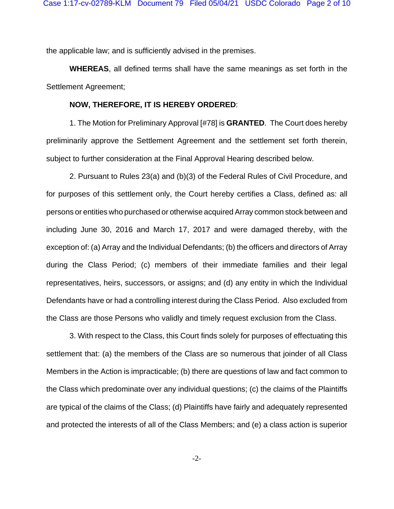the applicable law; and is sufficiently advised in the premises.

**WHEREAS**, all defined terms shall have the same meanings as set forth in the Settlement Agreement;

## **NOW, THEREFORE, IT IS HEREBY ORDERED**:

1. The Motion for Preliminary Approval [#78] is **GRANTED**. The Court does hereby preliminarily approve the Settlement Agreement and the settlement set forth therein, subject to further consideration at the Final Approval Hearing described below.

2. Pursuant to Rules 23(a) and (b)(3) of the Federal Rules of Civil Procedure, and for purposes of this settlement only, the Court hereby certifies a Class, defined as: all persons or entities who purchased or otherwise acquired Array common stock between and including June 30, 2016 and March 17, 2017 and were damaged thereby, with the exception of: (a) Array and the Individual Defendants; (b) the officers and directors of Array during the Class Period; (c) members of their immediate families and their legal representatives, heirs, successors, or assigns; and (d) any entity in which the Individual Defendants have or had a controlling interest during the Class Period. Also excluded from the Class are those Persons who validly and timely request exclusion from the Class.

3. With respect to the Class, this Court finds solely for purposes of effectuating this settlement that: (a) the members of the Class are so numerous that joinder of all Class Members in the Action is impracticable; (b) there are questions of law and fact common to the Class which predominate over any individual questions; (c) the claims of the Plaintiffs are typical of the claims of the Class; (d) Plaintiffs have fairly and adequately represented and protected the interests of all of the Class Members; and (e) a class action is superior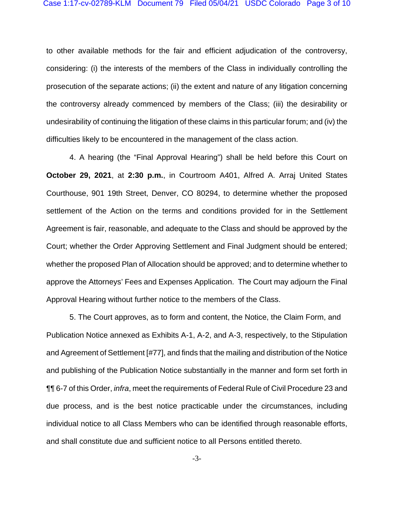to other available methods for the fair and efficient adjudication of the controversy, considering: (i) the interests of the members of the Class in individually controlling the prosecution of the separate actions; (ii) the extent and nature of any litigation concerning the controversy already commenced by members of the Class; (iii) the desirability or undesirability of continuing the litigation of these claims in this particular forum; and (iv) the difficulties likely to be encountered in the management of the class action.

4. A hearing (the "Final Approval Hearing") shall be held before this Court on October 29, 2021, at 2:30 p.m., in Courtroom A401, Alfred A. Arraj United States Courthouse, 901 19th Street, Denver, CO 80294, to determine whether the proposed settlement of the Action on the terms and conditions provided for in the Settlement Agreement is fair, reasonable, and adequate to the Class and should be approved by the Court; whether the Order Approving Settlement and Final Judgment should be entered; whether the proposed Plan of Allocation should be approved; and to determine whether to approve the Attorneys' Fees and Expenses Application. The Court may adjourn the Final Approval Hearing without further notice to the members of the Class.

5. The Court approves, as to form and content, the Notice, the Claim Form, and Publication Notice annexed as Exhibits A-1, A-2, and A-3, respectively, to the Stipulation and Agreement of Settlement [#77], and finds that the mailing and distribution of the Notice and publishing of the Publication Notice substantially in the manner and form set forth in **11 6-7 of this Order,** *infra***, meet the requirements of Federal Rule of Civil Procedure 23 and** due process, and is the best notice practicable under the circumstances, including individual notice to all Class Members who can be identified through reasonable efforts, and shall constitute due and sufficient notice to all Persons entitled thereto.

 $-3-$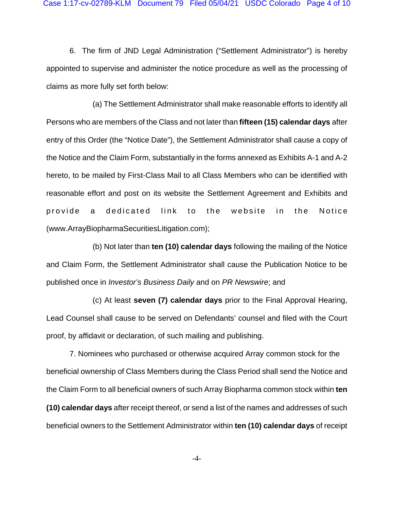6. The firm of JND Legal Administration ("Settlement Administrator") is hereby appointed to supervise and administer the notice procedure as well as the processing of claims as more fully set forth below:

(a) The Settlement Administrator shall make reasonable efforts to identify all Persons who are members of the Class and not later than **fifteen (15) calendar days** after entry of this Order (the "Notice Date"), the Settlement Administrator shall cause a copy of the Notice and the Claim Form, substantially in the forms annexed as Exhibits A-1 and A-2 hereto, to be mailed by First-Class Mail to all Class Members who can be identified with reasonable effort and post on its website the Settlement Agreement and Exhibits and provide a dedicated link to the website in the Notice (www.ArrayBiopharmaSecuritiesLitigation.com);

(b) Not later than **ten (10) calendar days** following the mailing of the Notice and Claim Form, the Settlement Administrator shall cause the Publication Notice to be published once in *Investor's Business Daily* and on *PR Newswire*; and

(c) At least **seven (7) calendar days** prior to the Final Approval Hearing, Lead Counsel shall cause to be served on Defendants' counsel and filed with the Court proof, by affidavit or declaration, of such mailing and publishing.

7. Nominees who purchased or otherwise acquired Array common stock for the beneficial ownership of Class Members during the Class Period shall send the Notice and the Claim Form to all beneficial owners of such Array Biopharma common stock within **ten (10) calendar days** after receipt thereof, or send a list of the names and addresses of such beneficial owners to the Settlement Administrator within **ten (10) calendar days** of receipt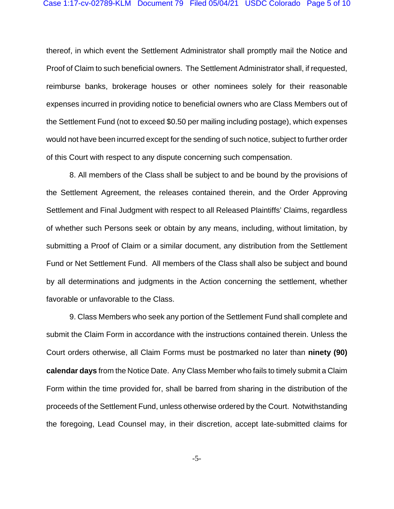thereof, in which event the Settlement Administrator shall promptly mail the Notice and Proof of Claim to such beneficial owners. The Settlement Administrator shall, if requested, reimburse banks, brokerage houses or other nominees solely for their reasonable expenses incurred in providing notice to beneficial owners who are Class Members out of the Settlement Fund (not to exceed \$0.50 per mailing including postage), which expenses would not have been incurred except for the sending of such notice, subject to further order of this Court with respect to any dispute concerning such compensation.

8. All members of the Class shall be subject to and be bound by the provisions of the Settlement Agreement, the releases contained therein, and the Order Approving Settlement and Final Judgment with respect to all Released Plaintiffs' Claims, regardless of whether such Persons seek or obtain by any means, including, without limitation, by submitting a Proof of Claim or a similar document, any distribution from the Settlement Fund or Net Settlement Fund. All members of the Class shall also be subject and bound by all determinations and judgments in the Action concerning the settlement, whether favorable or unfavorable to the Class.

9. Class Members who seek any portion of the Settlement Fund shall complete and submit the Claim Form in accordance with the instructions contained therein. Unless the Court orders otherwise, all Claim Forms must be postmarked no later than **ninety (90) calendar days** from the Notice Date. Any Class Member who fails to timely submit a Claim Form within the time provided for, shall be barred from sharing in the distribution of the proceeds of the Settlement Fund, unless otherwise ordered by the Court. Notwithstanding the foregoing, Lead Counsel may, in their discretion, accept late-submitted claims for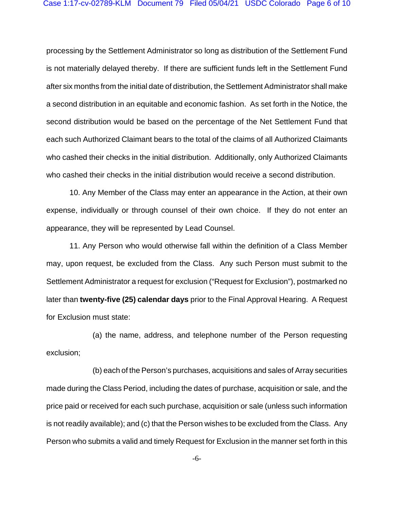processing by the Settlement Administrator so long as distribution of the Settlement Fund is not materially delayed thereby. If there are sufficient funds left in the Settlement Fund after six months from the initial date of distribution, the Settlement Administrator shall make a second distribution in an equitable and economic fashion. As set forth in the Notice, the second distribution would be based on the percentage of the Net Settlement Fund that each such Authorized Claimant bears to the total of the claims of all Authorized Claimants who cashed their checks in the initial distribution. Additionally, only Authorized Claimants who cashed their checks in the initial distribution would receive a second distribution.

10. Any Member of the Class may enter an appearance in the Action, at their own expense, individually or through counsel of their own choice. If they do not enter an appearance, they will be represented by Lead Counsel.

11. Any Person who would otherwise fall within the definition of a Class Member may, upon request, be excluded from the Class. Any such Person must submit to the Settlement Administrator a request for exclusion ("Request for Exclusion"), postmarked no later than **twenty-five (25) calendar days** prior to the Final Approval Hearing. A Request for Exclusion must state:

(a) the name, address, and telephone number of the Person requesting exclusion;

(b) each of the Person's purchases, acquisitions and sales of Array securities made during the Class Period, including the dates of purchase, acquisition or sale, and the price paid or received for each such purchase, acquisition or sale (unless such information is not readily available); and (c) that the Person wishes to be excluded from the Class. Any Person who submits a valid and timely Request for Exclusion in the manner set forth in this

-6-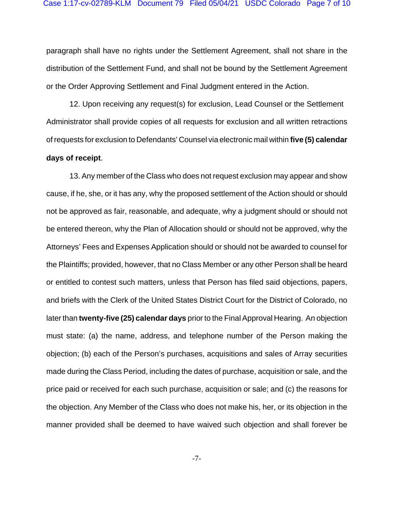paragraph shall have no rights under the Settlement Agreement, shall not share in the distribution of the Settlement Fund, and shall not be bound by the Settlement Agreement or the Order Approving Settlement and Final Judgment entered in the Action.

12. Upon receiving any request(s) for exclusion, Lead Counsel or the Settlement Administrator shall provide copies of all requests for exclusion and all written retractions of requests for exclusion to Defendants' Counsel via electronic mail within **five (5) calendar days of receipt**.

13. Any member of the Class who does not request exclusion may appear and show cause, if he, she, or it has any, why the proposed settlement of the Action should or should not be approved as fair, reasonable, and adequate, why a judgment should or should not be entered thereon, why the Plan of Allocation should or should not be approved, why the Attorneys' Fees and Expenses Application should or should not be awarded to counsel for the Plaintiffs; provided, however, that no Class Member or any other Person shall be heard or entitled to contest such matters, unless that Person has filed said objections, papers, and briefs with the Clerk of the United States District Court for the District of Colorado, no later than **twenty-five (25) calendar days** prior to the Final Approval Hearing. An objection must state: (a) the name, address, and telephone number of the Person making the objection; (b) each of the Person's purchases, acquisitions and sales of Array securities made during the Class Period, including the dates of purchase, acquisition or sale, and the price paid or received for each such purchase, acquisition or sale; and (c) the reasons for the objection. Any Member of the Class who does not make his, her, or its objection in the manner provided shall be deemed to have waived such objection and shall forever be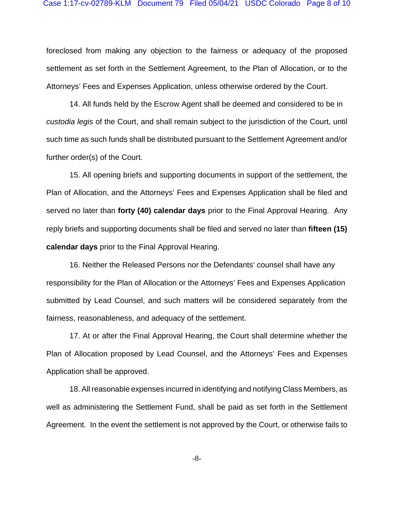foreclosed from making any objection to the fairness or adequacy of the proposed settlement as set forth in the Settlement Agreement, to the Plan of Allocation, or to the Attorneys' Fees and Expenses Application, unless otherwise ordered by the Court.

14. All funds held by the Escrow Agent shall be deemed and considered to be in *custodia legis* of the Court, and shall remain subject to the jurisdiction of the Court, until such time as such funds shall be distributed pursuant to the Settlement Agreement and/or further order(s) of the Court.

15. All opening briefs and supporting documents in support of the settlement, the Plan of Allocation, and the Attorneys' Fees and Expenses Application shall be filed and served no later than **forty (40) calendar days** prior to the Final Approval Hearing. Any reply briefs and supporting documents shall be filed and served no later than **fifteen (15) calendar days** prior to the Final Approval Hearing.

16. Neither the Released Persons nor the Defendants' counsel shall have any responsibility for the Plan of Allocation or the Attorneys' Fees and Expenses Application submitted by Lead Counsel, and such matters will be considered separately from the fairness, reasonableness, and adequacy of the settlement.

17. At or after the Final Approval Hearing, the Court shall determine whether the Plan of Allocation proposed by Lead Counsel, and the Attorneys' Fees and Expenses Application shall be approved.

18. All reasonable expenses incurred in identifying and notifying Class Members, as well as administering the Settlement Fund, shall be paid as set forth in the Settlement Agreement. In the event the settlement is not approved by the Court, or otherwise fails to

-8-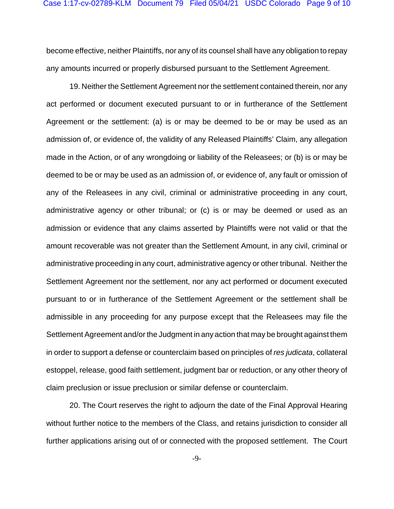become effective, neither Plaintiffs, nor any of its counsel shall have any obligation to repay any amounts incurred or properly disbursed pursuant to the Settlement Agreement.

19. Neither the Settlement Agreement nor the settlement contained therein, nor any act performed or document executed pursuant to or in furtherance of the Settlement Agreement or the settlement: (a) is or may be deemed to be or may be used as an admission of, or evidence of, the validity of any Released Plaintiffs' Claim, any allegation made in the Action, or of any wrongdoing or liability of the Releasees; or (b) is or may be deemed to be or may be used as an admission of, or evidence of, any fault or omission of any of the Releasees in any civil, criminal or administrative proceeding in any court, administrative agency or other tribunal; or (c) is or may be deemed or used as an admission or evidence that any claims asserted by Plaintiffs were not valid or that the amount recoverable was not greater than the Settlement Amount, in any civil, criminal or administrative proceeding in any court, administrative agency or other tribunal. Neither the Settlement Agreement nor the settlement, nor any act performed or document executed pursuant to or in furtherance of the Settlement Agreement or the settlement shall be admissible in any proceeding for any purpose except that the Releasees may file the Settlement Agreement and/or the Judgment in any action that may be brought against them in order to support a defense or counterclaim based on principles of res judicata, collateral estoppel, release, good faith settlement, judgment bar or reduction, or any other theory of claim preclusion or issue preclusion or similar defense or counterclaim.

20. The Court reserves the right to adjourn the date of the Final Approval Hearing without further notice to the members of the Class, and retains jurisdiction to consider all further applications arising out of or connected with the proposed settlement. The Court

 $-9-$